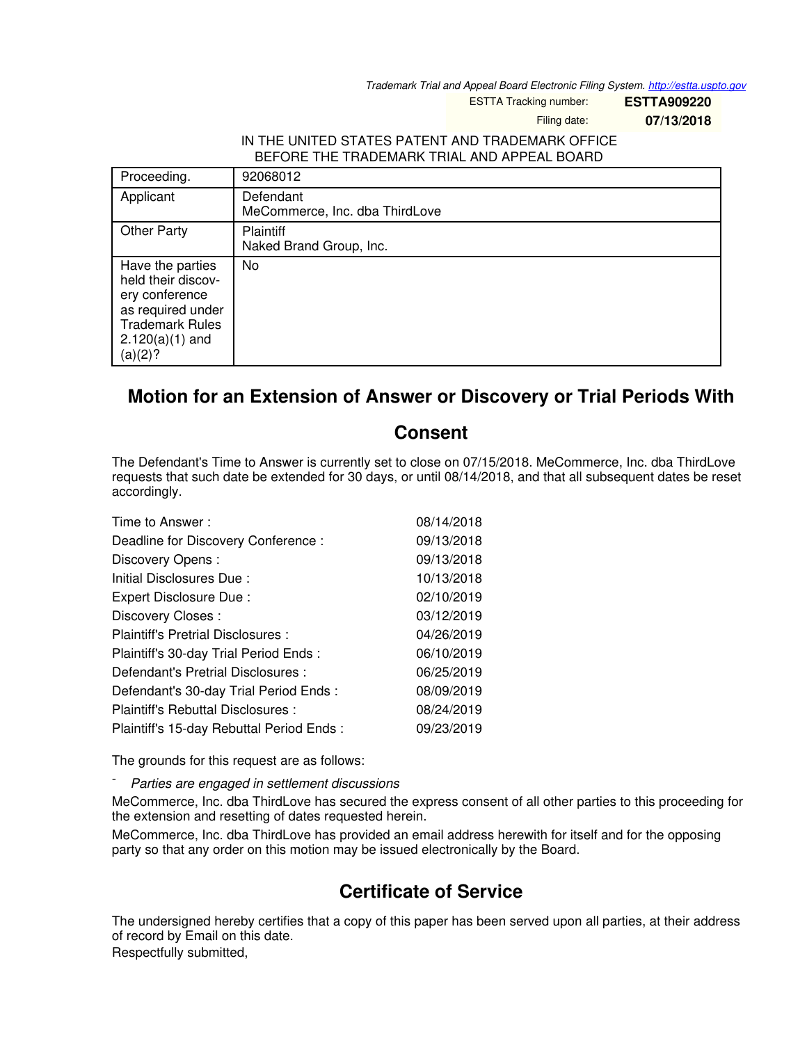*Trademark Trial and Appeal Board Electronic Filing System. <http://estta.uspto.gov>*

ESTTA Tracking number: **ESTTA909220**

Filing date: **07/13/2018**

## IN THE UNITED STATES PATENT AND TRADEMARK OFFICE BEFORE THE TRADEMARK TRIAL AND APPEAL BOARD

| Proceeding.                                                                                                                             | 92068012                                    |
|-----------------------------------------------------------------------------------------------------------------------------------------|---------------------------------------------|
| Applicant                                                                                                                               | Defendant<br>MeCommerce, Inc. dba ThirdLove |
| <b>Other Party</b>                                                                                                                      | <b>Plaintiff</b><br>Naked Brand Group, Inc. |
| Have the parties<br>held their discov-<br>ery conference<br>as required under<br><b>Trademark Rules</b><br>$2.120(a)(1)$ and<br>(a)(2)? | No                                          |

## **Motion for an Extension of Answer or Discovery or Trial Periods With**

## **Consent**

The Defendant's Time to Answer is currently set to close on 07/15/2018. MeCommerce, Inc. dba ThirdLove requests that such date be extended for 30 days, or until 08/14/2018, and that all subsequent dates be reset accordingly.

| Time to Answer:                          | 08/14/2018 |
|------------------------------------------|------------|
| Deadline for Discovery Conference:       | 09/13/2018 |
| Discovery Opens:                         | 09/13/2018 |
| Initial Disclosures Due:                 | 10/13/2018 |
| Expert Disclosure Due:                   | 02/10/2019 |
| Discovery Closes:                        | 03/12/2019 |
| Plaintiff's Pretrial Disclosures :       | 04/26/2019 |
| Plaintiff's 30-day Trial Period Ends:    | 06/10/2019 |
| Defendant's Pretrial Disclosures :       | 06/25/2019 |
| Defendant's 30-day Trial Period Ends:    | 08/09/2019 |
| Plaintiff's Rebuttal Disclosures :       | 08/24/2019 |
| Plaintiff's 15-day Rebuttal Period Ends: | 09/23/2019 |

The grounds for this request are as follows:

- *Parties are engaged in settlement discussions*

MeCommerce, Inc. dba ThirdLove has secured the express consent of all other parties to this proceeding for the extension and resetting of dates requested herein.

MeCommerce, Inc. dba ThirdLove has provided an email address herewith for itself and for the opposing party so that any order on this motion may be issued electronically by the Board.

## **Certificate of Service**

The undersigned hereby certifies that a copy of this paper has been served upon all parties, at their address of record by Email on this date.

Respectfully submitted,